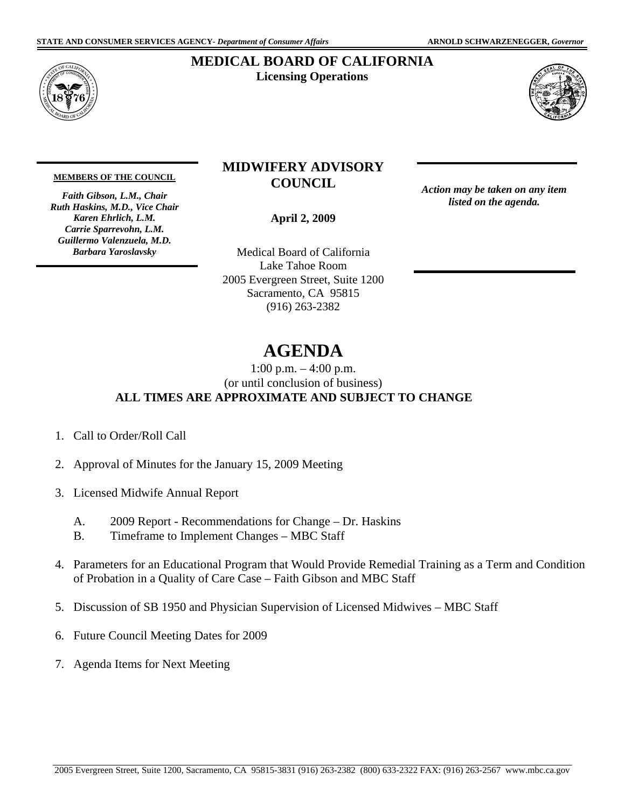

## **MEDICAL BOARD OF CALIFORNIA Licensing Operations**



#### **MEMBERS OF THE COUNCIL**

*Faith Gibson, L.M., Chair Ruth Haskins, M.D., Vice Chair Karen Ehrlich, L.M. Carrie Sparrevohn, L.M. Guillermo Valenzuela, M.D. Barbara Yaroslavsky* 

## **MIDWIFERY ADVISORY COUNCIL**

**April 2, 2009** 

(916) 263-2382 Medical Board of California Lake Tahoe Room 2005 Evergreen Street, Suite 1200 Sacramento, CA 95815 Action may be taken on any item<br> **April 2, 2009**<br>
al Board of California<br>
ake Tahoe Room<br>
rgreen Street, Suite 1200<br>
amento, CA 95815<br>
(916) 263-2382

*listed on the agenda.* 

# **AGENDA**

1:00 p.m. – 4:00 p.m. (or until conclusion of business) **ALL TIMES ARE APPROXIMATE AND SUBJECT TO CHANGE** 

- 1. Call to Order/Roll Call
- 2. Approval of Minutes for the January 15, 2009 Meeting
- 3. Licensed Midwife Annual Report
	- A. 2009 Report Recommendations for Change Dr. Haskins
	- B. Timeframe to Implement Changes MBC Staff
- 4. Parameters for an Educational Program that Would Provide Remedial Training as a Term and Condition of Probation in a Quality of Care Case – Faith Gibson and MBC Staff
- 5. Discussion of SB 1950 and Physician Supervision of Licensed Midwives MBC Staff
- 6. Future Council Meeting Dates for 2009
- 7. Agenda Items for Next Meeting